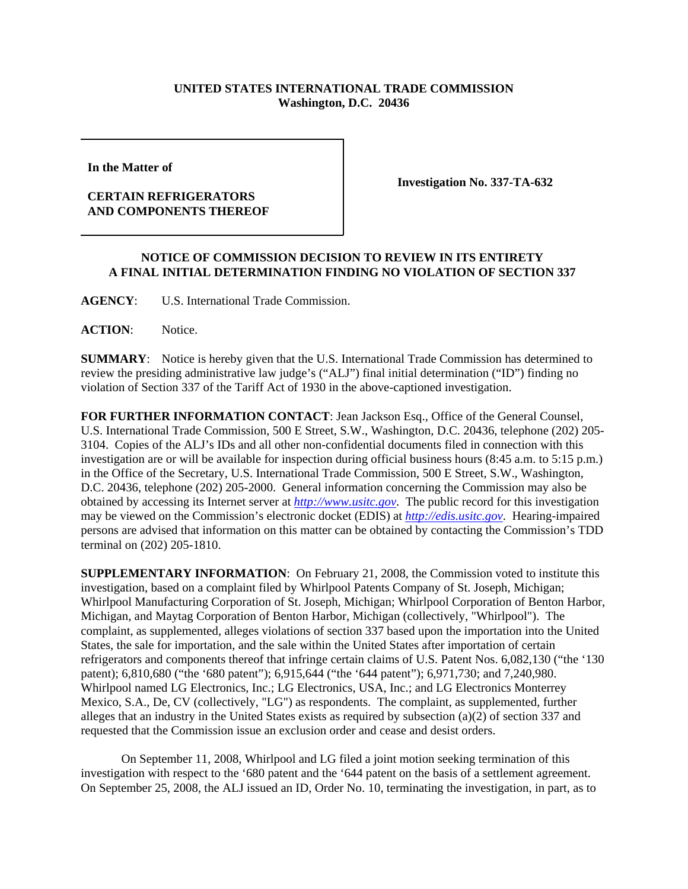## **UNITED STATES INTERNATIONAL TRADE COMMISSION Washington, D.C. 20436**

**In the Matter of** 

## **CERTAIN REFRIGERATORS AND COMPONENTS THEREOF**

**Investigation No. 337-TA-632**

## **NOTICE OF COMMISSION DECISION TO REVIEW IN ITS ENTIRETY A FINAL INITIAL DETERMINATION FINDING NO VIOLATION OF SECTION 337**

**AGENCY**: U.S. International Trade Commission.

**ACTION**: Notice.

**SUMMARY**: Notice is hereby given that the U.S. International Trade Commission has determined to review the presiding administrative law judge's ("ALJ") final initial determination ("ID") finding no violation of Section 337 of the Tariff Act of 1930 in the above-captioned investigation.

**FOR FURTHER INFORMATION CONTACT**: Jean Jackson Esq., Office of the General Counsel, U.S. International Trade Commission, 500 E Street, S.W., Washington, D.C. 20436, telephone (202) 205- 3104. Copies of the ALJ's IDs and all other non-confidential documents filed in connection with this investigation are or will be available for inspection during official business hours (8:45 a.m. to 5:15 p.m.) in the Office of the Secretary, U.S. International Trade Commission, 500 E Street, S.W., Washington, D.C. 20436, telephone (202) 205-2000. General information concerning the Commission may also be obtained by accessing its Internet server at *http://www.usitc.gov*. The public record for this investigation may be viewed on the Commission's electronic docket (EDIS) at *http://edis.usitc.gov*. Hearing-impaired persons are advised that information on this matter can be obtained by contacting the Commission's TDD terminal on (202) 205-1810.

**SUPPLEMENTARY INFORMATION**: On February 21, 2008, the Commission voted to institute this investigation, based on a complaint filed by Whirlpool Patents Company of St. Joseph, Michigan; Whirlpool Manufacturing Corporation of St. Joseph, Michigan; Whirlpool Corporation of Benton Harbor, Michigan, and Maytag Corporation of Benton Harbor, Michigan (collectively, "Whirlpool"). The complaint, as supplemented, alleges violations of section 337 based upon the importation into the United States, the sale for importation, and the sale within the United States after importation of certain refrigerators and components thereof that infringe certain claims of U.S. Patent Nos. 6,082,130 ("the '130 patent); 6,810,680 ("the '680 patent"); 6,915,644 ("the '644 patent"); 6,971,730; and 7,240,980. Whirlpool named LG Electronics, Inc.; LG Electronics, USA, Inc.; and LG Electronics Monterrey Mexico, S.A., De, CV (collectively, "LG") as respondents. The complaint, as supplemented, further alleges that an industry in the United States exists as required by subsection (a)(2) of section 337 and requested that the Commission issue an exclusion order and cease and desist orders.

On September 11, 2008, Whirlpool and LG filed a joint motion seeking termination of this investigation with respect to the '680 patent and the '644 patent on the basis of a settlement agreement. On September 25, 2008, the ALJ issued an ID, Order No. 10, terminating the investigation, in part, as to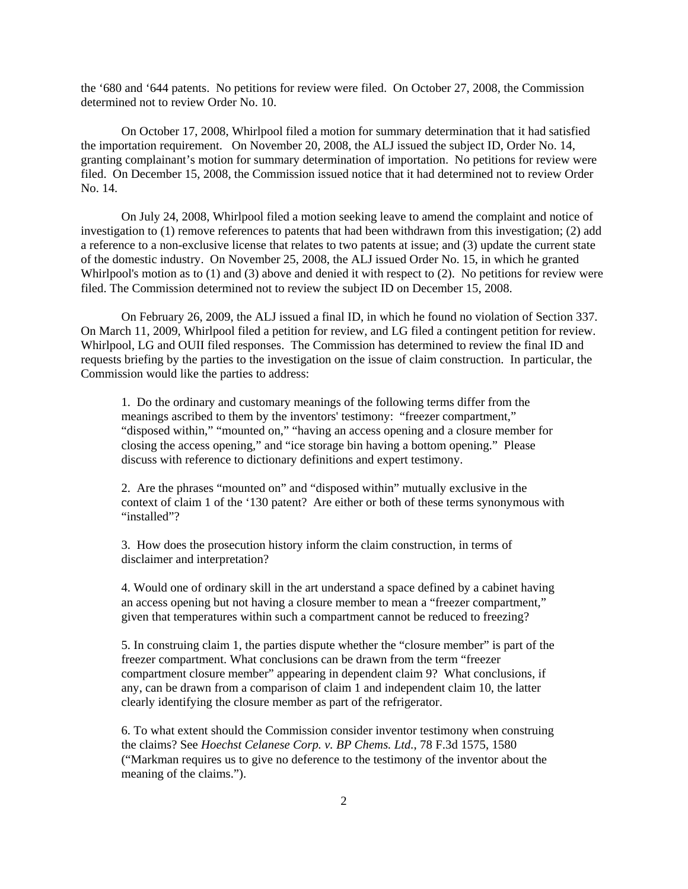the '680 and '644 patents. No petitions for review were filed. On October 27, 2008, the Commission determined not to review Order No. 10.

On October 17, 2008, Whirlpool filed a motion for summary determination that it had satisfied the importation requirement. On November 20, 2008, the ALJ issued the subject ID, Order No. 14, granting complainant's motion for summary determination of importation. No petitions for review were filed. On December 15, 2008, the Commission issued notice that it had determined not to review Order No. 14.

On July 24, 2008, Whirlpool filed a motion seeking leave to amend the complaint and notice of investigation to (1) remove references to patents that had been withdrawn from this investigation; (2) add a reference to a non-exclusive license that relates to two patents at issue; and (3) update the current state of the domestic industry. On November 25, 2008, the ALJ issued Order No. 15, in which he granted Whirlpool's motion as to (1) and (3) above and denied it with respect to (2). No petitions for review were filed. The Commission determined not to review the subject ID on December 15, 2008.

On February 26, 2009, the ALJ issued a final ID, in which he found no violation of Section 337. On March 11, 2009, Whirlpool filed a petition for review, and LG filed a contingent petition for review. Whirlpool, LG and OUII filed responses. The Commission has determined to review the final ID and requests briefing by the parties to the investigation on the issue of claim construction. In particular, the Commission would like the parties to address:

1. Do the ordinary and customary meanings of the following terms differ from the meanings ascribed to them by the inventors' testimony: "freezer compartment," "disposed within," "mounted on," "having an access opening and a closure member for closing the access opening," and "ice storage bin having a bottom opening." Please discuss with reference to dictionary definitions and expert testimony.

2. Are the phrases "mounted on" and "disposed within" mutually exclusive in the context of claim 1 of the '130 patent? Are either or both of these terms synonymous with "installed"?

3. How does the prosecution history inform the claim construction, in terms of disclaimer and interpretation?

4. Would one of ordinary skill in the art understand a space defined by a cabinet having an access opening but not having a closure member to mean a "freezer compartment," given that temperatures within such a compartment cannot be reduced to freezing?

 5. In construing claim 1, the parties dispute whether the "closure member" is part of the freezer compartment. What conclusions can be drawn from the term "freezer compartment closure member" appearing in dependent claim 9? What conclusions, if any, can be drawn from a comparison of claim 1 and independent claim 10, the latter clearly identifying the closure member as part of the refrigerator.

6. To what extent should the Commission consider inventor testimony when construing the claims? See *Hoechst Celanese Corp. v. BP Chems. Ltd.*, 78 F.3d 1575, 1580 ("Markman requires us to give no deference to the testimony of the inventor about the meaning of the claims.").